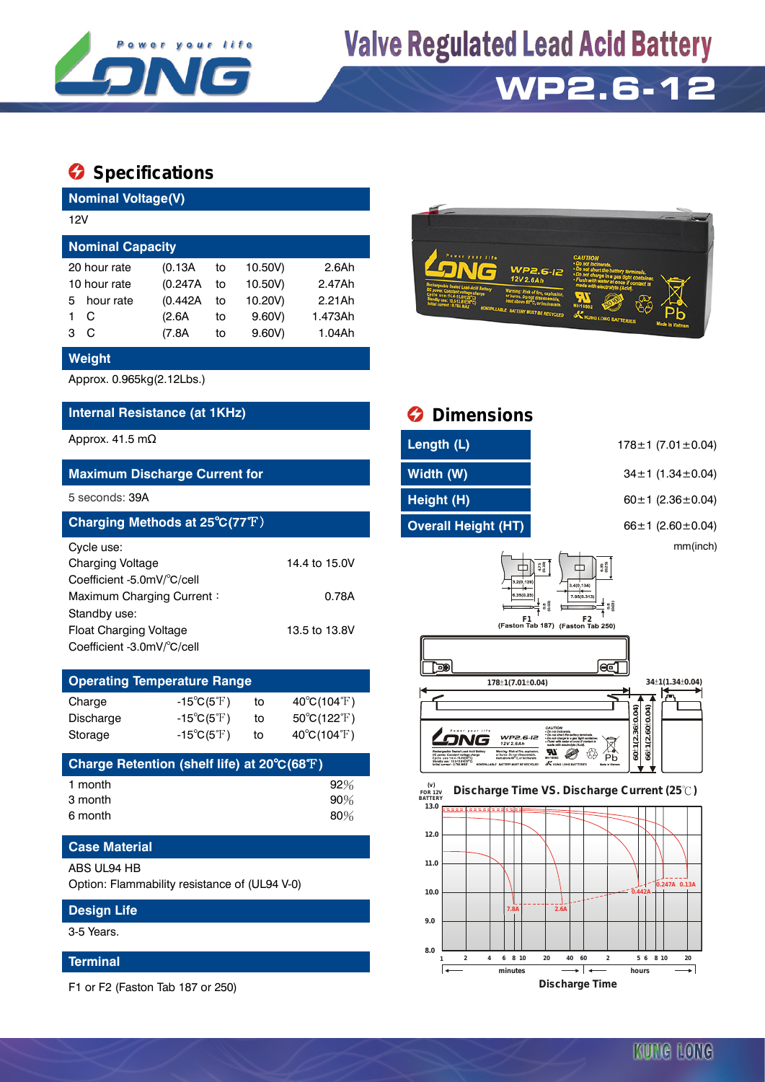

# **Valve Regulated Lead Acid Battery**

# **WP2.6-12**

### **Specifications**

| <b>Nominal Voltage(V)</b>                                                                                        |                                                          |                            |                                                      |                                                |
|------------------------------------------------------------------------------------------------------------------|----------------------------------------------------------|----------------------------|------------------------------------------------------|------------------------------------------------|
| 12V                                                                                                              |                                                          |                            |                                                      |                                                |
| <b>Nominal Capacity</b>                                                                                          |                                                          |                            |                                                      |                                                |
| 20 hour rate<br>10 hour rate<br>hour rate<br>5<br>C<br>1<br>C<br>3                                               | (0.13A)<br>(0.247A)<br>(0.442A)<br>(2.6A)<br>(7.8A)      | to<br>to<br>to<br>to<br>to | 10.50V)<br>10.50V)<br>10.20V)<br>9.60V)<br>$9.60V$ ) | 2.6Ah<br>2.47Ah<br>2.21Ah<br>1.473Ah<br>1.04Ah |
| <b>Weight</b>                                                                                                    |                                                          |                            |                                                      |                                                |
| Approx. 0.965kg(2.12Lbs.)                                                                                        |                                                          |                            |                                                      |                                                |
| Internal Resistance (at 1KHz)                                                                                    |                                                          |                            |                                                      |                                                |
| Approx. 41.5 m $\Omega$                                                                                          |                                                          |                            |                                                      |                                                |
| <b>Maximum Discharge Current for</b>                                                                             |                                                          |                            |                                                      |                                                |
| 5 seconds: 39A                                                                                                   |                                                          |                            |                                                      |                                                |
| Charging Methods at 25°C(77°F)                                                                                   |                                                          |                            |                                                      |                                                |
| Cycle use:<br><b>Charging Voltage</b><br>Coefficient -5.0mV/°C/cell<br>Maximum Charging Current:<br>Standby use: |                                                          |                            |                                                      | 14.4 to 15.0V<br>0.78A                         |
| Float Charging Voltage<br>Coefficient -3.0mV/°C/cell                                                             |                                                          |                            |                                                      | 13.5 to 13.8V                                  |
| <b>Operating Temperature Range</b>                                                                               |                                                          |                            |                                                      |                                                |
| Charge<br>Discharge                                                                                              | $-15^{\circ}C(5^{\circ}F)$<br>$-15^{\circ}C(5^{\circ}F)$ |                            | to<br>to                                             | 40°C(104°F)<br>50°C(122°F)                     |



| <b>O</b> Dimensions                                                                                                                                                                                                                |                                                                                                                                                                                                                                                                                                                                 |
|------------------------------------------------------------------------------------------------------------------------------------------------------------------------------------------------------------------------------------|---------------------------------------------------------------------------------------------------------------------------------------------------------------------------------------------------------------------------------------------------------------------------------------------------------------------------------|
| Length (L)                                                                                                                                                                                                                         | $178 \pm 1$ (7.01 $\pm$ 0.04)                                                                                                                                                                                                                                                                                                   |
| Width (W)                                                                                                                                                                                                                          | $34 \pm 1$ (1.34 $\pm$ 0.04)                                                                                                                                                                                                                                                                                                    |
| Height (H)                                                                                                                                                                                                                         | 60 $\pm$ 1 (2.36 $\pm$ 0.04)                                                                                                                                                                                                                                                                                                    |
| <b>Overall Height (HT)</b>                                                                                                                                                                                                         | $66 \pm 1$ (2.60 $\pm$ 0.04)                                                                                                                                                                                                                                                                                                    |
| 3.2(0.126)<br>6.35(0.25<br>F1                                                                                                                                                                                                      | mm(inch)<br>$4.75$<br>(0.19)<br>6.35<br>(0.25)<br>3.4(0.134)<br>7 95(0.313)<br>0.8<br>0.8<br>F <sub>2</sub><br>(Faston Tab 187) (Faston Tab 250)                                                                                                                                                                                |
| ap,                                                                                                                                                                                                                                | ΘΞ                                                                                                                                                                                                                                                                                                                              |
| 178±1(7.01±0.04)                                                                                                                                                                                                                   | 34±1(1.34±0.04)                                                                                                                                                                                                                                                                                                                 |
| $0.05$ $1110$<br>WP2.6-I2<br>12V 2.6Ah<br>Rechargeable Sealed Lead-Acid Battery<br>Warning: Risk of fire, explosion,<br>or huros. Do not disassemble,<br>heat above \$0°C, or incinerate.<br>NOWSPILLABLE BATTERY MUST BE RECYCLED | $60 + 1(2.36 + 0.04)$<br>$(2.60 + 0.04)$<br>CAUTION<br>Do not incloerate.<br>Do not short the battery ferminals.<br>Do not charge in a gas tight container<br>Filush with water at once if contact is<br>made with electrolyte (Acid).<br>$66 \pm 1$<br>Рb<br>MH16982<br><b>X</b> KUNG LONG BATTERIES<br><b>Mudo in Vietnan</b> |
| (v)<br><b>FOR 12V</b><br><b>BATTERY</b><br>13.0                                                                                                                                                                                    | Discharge Time VS. Discharge Current (25°C)                                                                                                                                                                                                                                                                                     |
| 12.0                                                                                                                                                                                                                               |                                                                                                                                                                                                                                                                                                                                 |

#### **11.0 0.247A 0.13A 10.0 0.442A** L. N ب<br>2.6 **7.8A 9.0 8.0 1 2 4 6 8 10 20 40 60 2 5 6 8 10 20 minutes hours** ⊋ **Discharge Time**

#### **Case Material** ABS UL94 HB

Option: Flammability resistance of (UL94 V-0)

Storage  $-15^{\circ}C(5^{\circ}F)$  to  $40^{\circ}C(104^{\circ}F)$ 

1 month 92% 3 month 90% 6 month 80%

**Charge Retention (shelf life) at 20**℃**(68**℉**)**

### **Design Life**

3-5 Years.

### **Terminal**

F1 or F2 (Faston Tab 187 or 250)